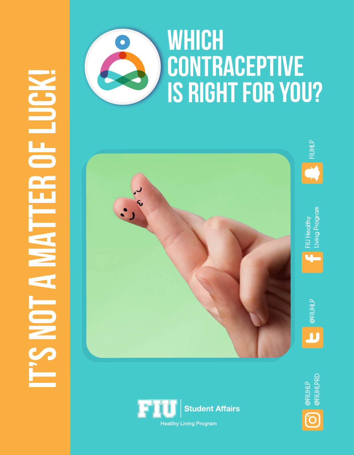# IT'S NOT A MATTER OF LUCK! **OF LUGK PHILANNAIC**



# **WHICH** CONTRACEPTIVE IS RIGHT FOR YOU?







Living Program FIU Healthy

4



@FIUHLP<br>@FIUHLPRD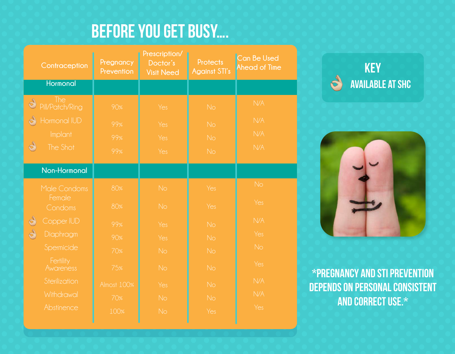# BEFORE YOU GET BUSY….

| Contraception                               | Pregnancy<br>Prevention | Prescription/<br>Doctor's<br><b>Visit Need</b> | <b>Protects</b><br><b>Against STI's</b> | Can Be Used<br><b>Ahead of Time</b> | <b>KEY</b>               |
|---------------------------------------------|-------------------------|------------------------------------------------|-----------------------------------------|-------------------------------------|--------------------------|
| <b>Hormonal</b>                             |                         |                                                |                                         |                                     | <b>AVAILABI</b>          |
| The<br>$\mathbb{Q}$<br>Pill/Patch/Ring      | 90%                     | Yes                                            | No                                      | N/A                                 |                          |
| Hormonal IUD<br>$\mathcal{C}_{\mathcal{J}}$ | 99%                     | Yes                                            | No                                      | N/A                                 |                          |
| Implant                                     | 99%                     | Yes                                            | No                                      | N/A                                 |                          |
| S<br>The Shot                               | 99%                     | Yes                                            | No                                      | N/A                                 |                          |
| Non-Hormonal                                |                         |                                                |                                         |                                     |                          |
| Male Condoms                                | 80%                     | <b>No</b>                                      | Yes                                     | <b>No</b>                           |                          |
| Female<br>Condoms                           | 80%                     | <b>No</b>                                      | Yes                                     | Yes                                 |                          |
| $\mathcal{O}$<br>Copper IUD                 | 99%                     | Yes                                            | <b>No</b>                               | N/A                                 |                          |
| S<br>Diaphragm                              | 90%                     | Yes                                            | <b>No</b>                               | Yes                                 |                          |
| Spermicide                                  | 70%                     | <b>No</b>                                      | No                                      | <b>No</b>                           |                          |
| Fertility<br>Awareness                      | 75%                     | <b>No</b>                                      | No                                      | Yes                                 | <b>*PREGNANCY AND S</b>  |
| Sterilization                               | <b>Almost 100%</b>      | Yes                                            | <b>No</b>                               | N/A                                 | <b>DEPENDS ON PERSON</b> |
| Withdrawal                                  | 70%                     | No                                             | No                                      | N/A                                 | <b>AND CORRED</b>        |
| Abstinence                                  | 100%                    | <b>No</b>                                      | Yes                                     | Yes                                 |                          |
|                                             |                         |                                                |                                         |                                     |                          |





\*Pregnancy and STI prevention depends on personal consistent and correct use.\*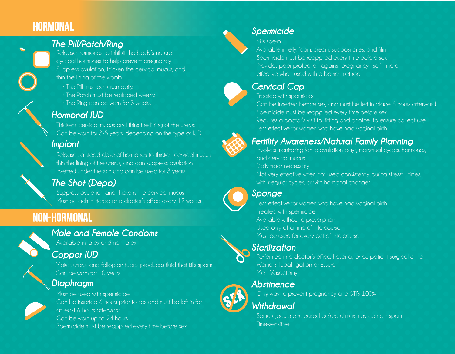## **HORMONAL**

#### *The Pill/Patch/Ring*

Release hormones to inhibit the body's natural cyclical hormones to help prevent pregnancy Suppress ovulation, thicken the cervical mucus, and thin the lining of the womb

- The Pill must be taken daily.
- The Patch must be replaced weekly.
- The Ring can be worn for 3 weeks.

#### *Hormonal IUD*

Thickens cervical mucus and thins the lining of the uterus Can be worn for 3-5 years, depending on the type of IUD

#### *Implant*



Releases a stead dose of hormones to thicken cervical mucus, thin the lining of the uterus, and can suppress ovulation Inserted under the skin and can be used for 3 years

#### *The Shot (Depo)*

Suppress ovulation and thickens the cervical mucus Must be administered at a doctor's office every 12 weeks Less effective for women who have had vaginal birth

## Non-Hormonal

#### *Male and Female Condoms*

Available in latex and non-latex

#### *Copper IUD*

Makes uterus and fallopian tubes produces fluid that kills sperm Can be worn for 10 years

#### *Diaphragm*



Must be used with spermicide Can be inserted 6 hours prior to sex and must be left in for at least 6 hours afterward Can be worn up to 24 hours Spermicide must be reapplied every time before sex

#### *Spermicide*

Kills sperm

Available in jelly, foam, cream, suppositories, and film Spermicide must be reapplied every time before sex Provides poor protection against pregnancy itself - more effective when used with a barrier method

#### *Cervical Cap*

Treated with spermicide

Can be inserted before sex, and must be left in place 6 hours afterward Spermicide must be reapplied every time before sex

Requires a doctor's visit for fitting and another to ensure correct use Less effective for women who have had vaginal birth

#### *Fertility Awareness/Natural Family Planning*

Involves monitoring fertile ovulation days, menstrual cycles, hormones, and cervical mucus

Daily track necessary

Not very effective when not used consistently, during stressful times, with irregular cycles, or with hormonal changes

#### *Sponge*

Treated with spermicide Available without a prescription

Used only at a time of intercourse Must be used for every act of intercourse

#### *Sterilization*



Performed in a doctor's office, hospital, or outpatient surgical clinic Women: Tubal ligation or Essure Men: Vasectomy

*Abstinence*

Only way to prevent pregnancy and STI's 100%

#### *Withdrawal*

Some ejaculate released before climax may contain sperm Time-sensitive